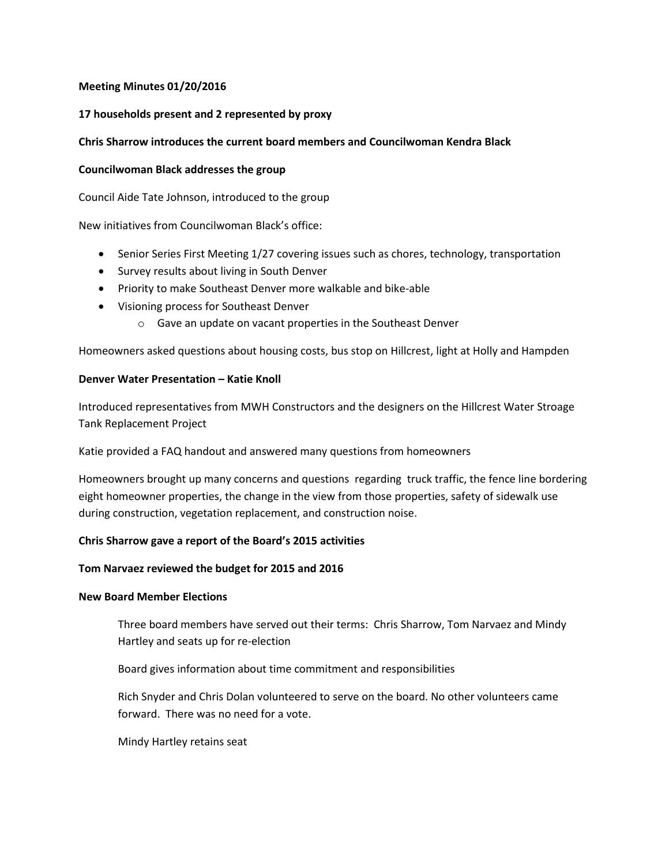# **Meeting Minutes 01/20/2016**

## **17 households present and 2 represented by proxy**

## **Chris Sharrow introduces the current board members and Councilwoman Kendra Black**

## **Councilwoman Black addresses the group**

Council Aide Tate Johnson, introduced to the group

New initiatives from Councilwoman Black's office:

- Senior Series First Meeting 1/27 covering issues such as chores, technology, transportation
- Survey results about living in South Denver
- Priority to make Southeast Denver more walkable and bike-able
- Visioning process for Southeast Denver
	- o Gave an update on vacant properties in the Southeast Denver

Homeowners asked questions about housing costs, bus stop on Hillcrest, light at Holly and Hampden

## **Denver Water Presentation – Katie Knoll**

Introduced representatives from MWH Constructors and the designers on the Hillcrest Water Stroage Tank Replacement Project

Katie provided a FAQ handout and answered many questions from homeowners

Homeowners brought up many concerns and questions regarding truck traffic, the fence line bordering eight homeowner properties, the change in the view from those properties, safety of sidewalk use during construction, vegetation replacement, and construction noise.

#### **Chris Sharrow gave a report of the Board's 2015 activities**

#### **Tom Narvaez reviewed the budget for 2015 and 2016**

## **New Board Member Elections**

Three board members have served out their terms: Chris Sharrow, Tom Narvaez and Mindy Hartley and seats up for re-election

Board gives information about time commitment and responsibilities

Rich Snyder and Chris Dolan volunteered to serve on the board. No other volunteers came forward. There was no need for a vote.

Mindy Hartley retains seat